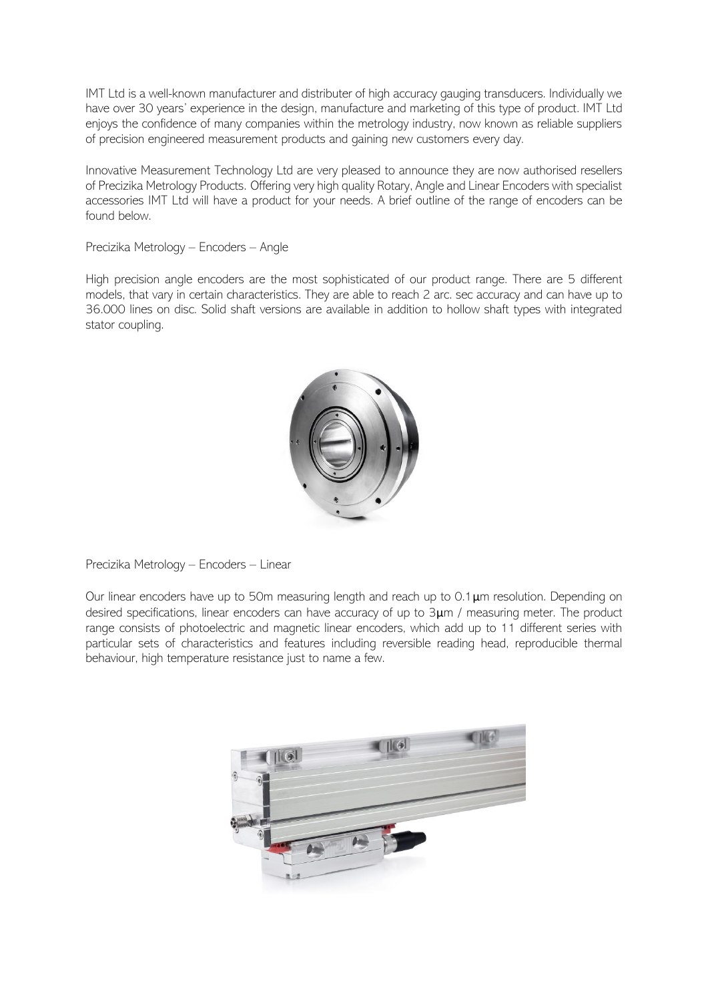IMT Ltd is a well-known manufacturer and distributer of high accuracy gauging transducers. Individually we have over 30 years' experience in the design, manufacture and marketing of this type of product. IMT Ltd enjoys the confidence of many companies within the metrology industry, now known as reliable suppliers of precision engineered measurement products and gaining new customers every day.

Innovative Measurement Technology Ltd are very pleased to announce they are now authorised resellers of Precizika Metrology Products. Offering very high quality Rotary, Angle and Linear Encoders with specialist accessories IMT Ltd will have a product for your needs. A brief outline of the range of encoders can be found below.

## Precizika Metrology – Encoders – Angle

High precision angle encoders are the most sophisticated of our product range. There are 5 different models, that vary in certain characteristics. They are able to reach 2 arc. sec accuracy and can have up to 36.000 lines on disc. Solid shaft versions are available in addition to hollow shaft types with integrated stator coupling.



Precizika Metrology – Encoders – Linear

Our linear encoders have up to 50m measuring length and reach up to 0.1μm resolution. Depending on desired specifications, linear encoders can have accuracy of up to 3μm / measuring meter. The product range consists of photoelectric and magnetic linear encoders, which add up to 11 different series with particular sets of characteristics and features including reversible reading head, reproducible thermal behaviour, high temperature resistance just to name a few.